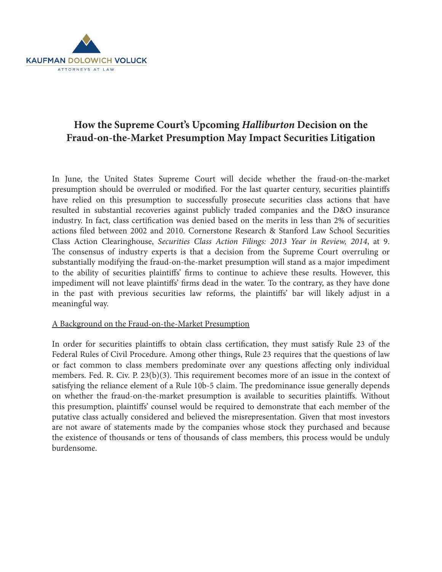

# **How the Supreme Court's Upcoming** *Halliburton* **Decision on the Fraud-on-the-Market Presumption May Impact Securities Litigation**

In June, the United States Supreme Court will decide whether the fraud-on-the-market presumption should be overruled or modified. For the last quarter century, securities plaintiffs have relied on this presumption to successfully prosecute securities class actions that have resulted in substantial recoveries against publicly traded companies and the D&O insurance industry. In fact, class certification was denied based on the merits in less than 2% of securities actions filed between 2002 and 2010. Cornerstone Research & Stanford Law School Securities Class Action Clearinghouse, *Securities Class Action Filings: 2013 Year in Review, 2014*, at 9. The consensus of industry experts is that a decision from the Supreme Court overruling or substantially modifying the fraud-on-the-market presumption will stand as a major impediment to the ability of securities plaintiffs' firms to continue to achieve these results. However, this impediment will not leave plaintiffs' firms dead in the water. To the contrary, as they have done in the past with previous securities law reforms, the plaintiffs' bar will likely adjust in a meaningful way.

# A Background on the Fraud-on-the-Market Presumption

In order for securities plaintiffs to obtain class certification, they must satisfy Rule 23 of the Federal Rules of Civil Procedure. Among other things, Rule 23 requires that the questions of law or fact common to class members predominate over any questions affecting only individual members. Fed. R. Civ. P. 23(b)(3). This requirement becomes more of an issue in the context of satisfying the reliance element of a Rule 10b-5 claim. The predominance issue generally depends on whether the fraud-on-the-market presumption is available to securities plaintiffs. Without this presumption, plaintiffs' counsel would be required to demonstrate that each member of the putative class actually considered and believed the misrepresentation. Given that most investors are not aware of statements made by the companies whose stock they purchased and because the existence of thousands or tens of thousands of class members, this process would be unduly burdensome.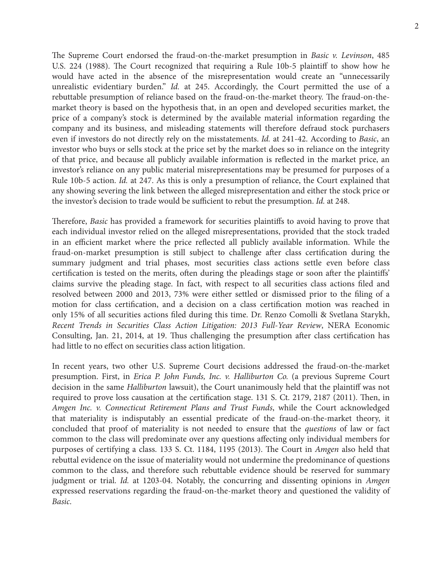The Supreme Court endorsed the fraud-on-the-market presumption in *Basic v. Levinson*, 485 U.S. 224 (1988). The Court recognized that requiring a Rule 10b-5 plaintiff to show how he would have acted in the absence of the misrepresentation would create an "unnecessarily unrealistic evidentiary burden." *Id.* at 245. Accordingly, the Court permitted the use of a rebuttable presumption of reliance based on the fraud-on-the-market theory. The fraud-on-themarket theory is based on the hypothesis that, in an open and developed securities market, the price of a company's stock is determined by the available material information regarding the company and its business, and misleading statements will therefore defraud stock purchasers even if investors do not directly rely on the misstatements. *Id.* at 241-42. According to *Basic*, an investor who buys or sells stock at the price set by the market does so in reliance on the integrity of that price, and because all publicly available information is reflected in the market price, an investor's reliance on any public material misrepresentations may be presumed for purposes of a Rule 10b-5 action. *Id.* at 247. As this is only a presumption of reliance, the Court explained that any showing severing the link between the alleged misrepresentation and either the stock price or the investor's decision to trade would be sufficient to rebut the presumption. *Id.* at 248.

Therefore, *Basic* has provided a framework for securities plaintiffs to avoid having to prove that each individual investor relied on the alleged misrepresentations, provided that the stock traded in an efficient market where the price reflected all publicly available information. While the fraud-on-market presumption is still subject to challenge after class certification during the summary judgment and trial phases, most securities class actions settle even before class certification is tested on the merits, often during the pleadings stage or soon after the plaintiffs' claims survive the pleading stage. In fact, with respect to all securities class actions filed and resolved between 2000 and 2013, 73% were either settled or dismissed prior to the filing of a motion for class certification, and a decision on a class certification motion was reached in only 15% of all securities actions filed during this time. Dr. Renzo Comolli & Svetlana Starykh, *Recent Trends in Securities Class Action Litigation: 2013 Full-Year Review*, NERA Economic Consulting, Jan. 21, 2014, at 19. Thus challenging the presumption after class certification has had little to no effect on securities class action litigation.

In recent years, two other U.S. Supreme Court decisions addressed the fraud-on-the-market presumption. First, in *Erica P. John Funds, Inc. v. Halliburton Co.* (a previous Supreme Court decision in the same *Halliburton* lawsuit), the Court unanimously held that the plaintiff was not required to prove loss causation at the certification stage. 131 S. Ct. 2179, 2187 (2011). Then, in *Amgen Inc. v. Connecticut Retirement Plans and Trust Funds*, while the Court acknowledged that materiality is indisputably an essential predicate of the fraud-on-the-market theory, it concluded that proof of materiality is not needed to ensure that the *questions* of law or fact common to the class will predominate over any questions affecting only individual members for purposes of certifying a class. 133 S. Ct. 1184, 1195 (2013). The Court in *Amgen* also held that rebuttal evidence on the issue of materiality would not undermine the predominance of questions common to the class, and therefore such rebuttable evidence should be reserved for summary judgment or trial. *Id.* at 1203-04. Notably, the concurring and dissenting opinions in *Amgen* expressed reservations regarding the fraud-on-the-market theory and questioned the validity of *Basic*.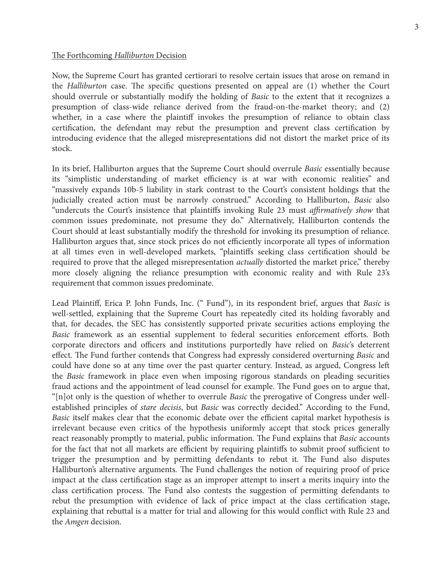## The Forthcoming *Halliburton* Decision

Now, the Supreme Court has granted certiorari to resolve certain issues that arose on remand in the *Halliburton* case. The specific questions presented on appeal are (1) whether the Court should overrule or substantially modify the holding of *Basic* to the extent that it recognizes a presumption of class-wide reliance derived from the fraud-on-the-market theory; and (2) whether, in a case where the plaintiff invokes the presumption of reliance to obtain class certification, the defendant may rebut the presumption and prevent class certification by introducing evidence that the alleged misrepresentations did not distort the market price of its stock.

In its brief, Halliburton argues that the Supreme Court should overrule *Basic* essentially because its "simplistic understanding of market efficiency is at war with economic realities" and "massively expands 10b-5 liability in stark contrast to the Court's consistent holdings that the judicially created action must be narrowly construed." According to Halliburton, *Basic* also "undercuts the Court's insistence that plaintiffs invoking Rule 23 must *affirmatively show* that common issues predominate, not presume they do." Alternatively, Halliburton contends the Court should at least substantially modify the threshold for invoking its presumption of reliance. Halliburton argues that, since stock prices do not efficiently incorporate all types of information at all times even in well-developed markets, "plaintiffs seeking class certification should be required to prove that the alleged misrepresentation *actually* distorted the market price," thereby more closely aligning the reliance presumption with economic reality and with Rule 23's requirement that common issues predominate.

Lead Plaintiff, Erica P. John Funds, Inc. (" Fund"), in its respondent brief, argues that *Basic* is well-settled, explaining that the Supreme Court has repeatedly cited its holding favorably and that, for decades, the SEC has consistently supported private securities actions employing the Basic framework as an essential supplement to federal securities enforcement efforts. Both corporate directors and officers and institutions purportedly have relied on *Basic's* deterrent effect. The Fund further contends that Congress had expressly considered overturning *Basic* and could have done so at any time over the past quarter century. Instead, as argued, Congress left the *Basic* framework in place even when imposing rigorous standards on pleading securities fraud actions and the appointment of lead counsel for example. The Fund goes on to argue that, "[n]ot only is the question of whether to overrule *Basic* the prerogative of Congress under wellestablished principles of *stare decisis*, but *Basic* was correctly decided." According to the Fund, *Basic* itself makes clear that the economic debate over the efficient capital market hypothesis is irrelevant because even critics of the hypothesis uniformly accept that stock prices generally react reasonably promptly to material, public information. The Fund explains that *Basic* accounts for the fact that not all markets are efficient by requiring plaintiffs to submit proof sufficient to trigger the presumption and by permitting defendants to rebut it. The Fund also disputes Halliburton's alternative arguments. The Fund challenges the notion of requiring proof of price impact at the class certification stage as an improper attempt to insert a merits inquiry into the class certification process. The Fund also contests the suggestion of permitting defendants to rebut the presumption with evidence of lack of price impact at the class certification stage, explaining that rebuttal is a matter for trial and allowing for this would conflict with Rule 23 and the *Amgen* decision.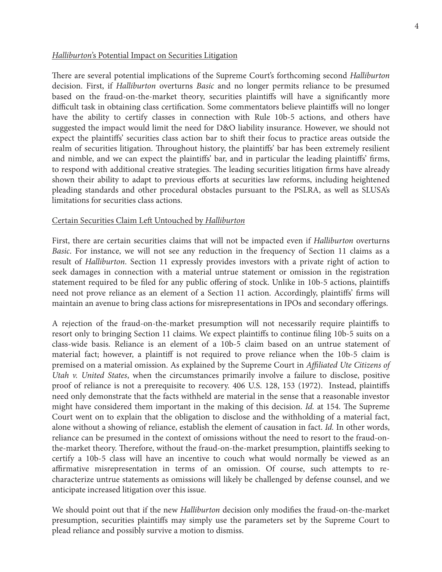#### *Halliburton*'s Potential Impact on Securities Litigation

There are several potential implications of the Supreme Court's forthcoming second *Halliburton* decision. First, if *Halliburton* overturns *Basic* and no longer permits reliance to be presumed based on the fraud-on-the-market theory, securities plaintiffs will have a significantly more difficult task in obtaining class certification. Some commentators believe plaintiffs will no longer have the ability to certify classes in connection with Rule 10b-5 actions, and others have suggested the impact would limit the need for D&O liability insurance. However, we should not expect the plaintiffs' securities class action bar to shift their focus to practice areas outside the realm of securities litigation. Throughout history, the plaintiffs' bar has been extremely resilient and nimble, and we can expect the plaintiffs' bar, and in particular the leading plaintiffs' firms, to respond with additional creative strategies. The leading securities litigation firms have already shown their ability to adapt to previous efforts at securities law reforms, including heightened pleading standards and other procedural obstacles pursuant to the PSLRA, as well as SLUSA's limitations for securities class actions.

## Certain Securities Claim Left Untouched by *Halliburton*

First, there are certain securities claims that will not be impacted even if *Halliburton* overturns *Basic*. For instance, we will not see any reduction in the frequency of Section 11 claims as a result of *Halliburton*. Section 11 expressly provides investors with a private right of action to seek damages in connection with a material untrue statement or omission in the registration statement required to be filed for any public offering of stock. Unlike in 10b-5 actions, plaintiffs need not prove reliance as an element of a Section 11 action. Accordingly, plaintiffs' firms will maintain an avenue to bring class actions for misrepresentations in IPOs and secondary offerings.

A rejection of the fraud-on-the-market presumption will not necessarily require plaintiffs to resort only to bringing Section 11 claims. We expect plaintiffs to continue filing 10b-5 suits on a class-wide basis. Reliance is an element of a 10b-5 claim based on an untrue statement of material fact; however, a plaintiff is not required to prove reliance when the 10b-5 claim is premised on a material omission. As explained by the Supreme Court in *Affiliated Ute Citizens of Utah v. United States*, when the circumstances primarily involve a failure to disclose, positive proof of reliance is not a prerequisite to recovery. 406 U.S. 128, 153 (1972). Instead, plaintiffs need only demonstrate that the facts withheld are material in the sense that a reasonable investor might have considered them important in the making of this decision. *Id.* at 154. The Supreme Court went on to explain that the obligation to disclose and the withholding of a material fact, alone without a showing of reliance, establish the element of causation in fact. *Id.* In other words, reliance can be presumed in the context of omissions without the need to resort to the fraud-onthe-market theory. Therefore, without the fraud-on-the-market presumption, plaintiffs seeking to certify a 10b-5 class will have an incentive to couch what would normally be viewed as an affirmative misrepresentation in terms of an omission. Of course, such attempts to recharacterize untrue statements as omissions will likely be challenged by defense counsel, and we anticipate increased litigation over this issue.

We should point out that if the new *Halliburton* decision only modifies the fraud-on-the-market presumption, securities plaintiffs may simply use the parameters set by the Supreme Court to plead reliance and possibly survive a motion to dismiss.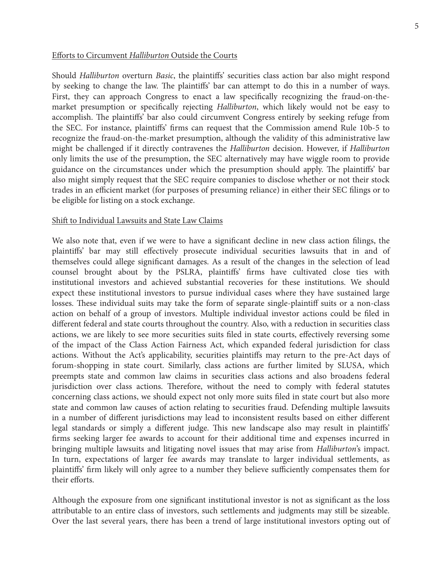## **Efforts to Circumvent Halliburton Outside the Courts**

Should *Halliburton* overturn *Basic*, the plaintiffs' securities class action bar also might respond by seeking to change the law. The plaintiffs' bar can attempt to do this in a number of ways. First, they can approach Congress to enact a law specifically recognizing the fraud-on-themarket presumption or specifically rejecting *Halliburton*, which likely would not be easy to accomplish. The plaintiffs' bar also could circumvent Congress entirely by seeking refuge from the SEC. For instance, plaintiffs' firms can request that the Commission amend Rule 10b-5 to recognize the fraud-on-the-market presumption, although the validity of this administrative law might be challenged if it directly contravenes the *Halliburton* decision. However, if *Halliburton* only limits the use of the presumption, the SEC alternatively may have wiggle room to provide guidance on the circumstances under which the presumption should apply. The plaintiffs' bar also might simply request that the SEC require companies to disclose whether or not their stock trades in an efficient market (for purposes of presuming reliance) in either their SEC filings or to be eligible for listing on a stock exchange.

### Shift to Individual Lawsuits and State Law Claims

We also note that, even if we were to have a significant decline in new class action filings, the plaintiffs' bar may still effectively prosecute individual securities lawsuits that in and of themselves could allege significant damages. As a result of the changes in the selection of lead counsel brought about by the PSLRA, plaintiffs' firms have cultivated close ties with institutional investors and achieved substantial recoveries for these institutions. We should expect these institutional investors to pursue individual cases where they have sustained large losses. These individual suits may take the form of separate single-plaintiff suits or a non-class action on behalf of a group of investors. Multiple individual investor actions could be filed in different federal and state courts throughout the country. Also, with a reduction in securities class actions, we are likely to see more securities suits filed in state courts, effectively reversing some of the impact of the Class Action Fairness Act, which expanded federal jurisdiction for class actions. Without the Act's applicability, securities plaintiffs may return to the pre-Act days of forum-shopping in state court. Similarly, class actions are further limited by SLUSA, which preempts state and common law claims in securities class actions and also broadens federal jurisdiction over class actions. Therefore, without the need to comply with federal statutes concerning class actions, we should expect not only more suits filed in state court but also more state and common law causes of action relating to securities fraud. Defending multiple lawsuits in a number of different jurisdictions may lead to inconsistent results based on either different legal standards or simply a different judge. This new landscape also may result in plaintiffs' firms seeking larger fee awards to account for their additional time and expenses incurred in bringing multiple lawsuits and litigating novel issues that may arise from *Halliburton*'s impact. In turn, expectations of larger fee awards may translate to larger individual settlements, as plaintiffs' firm likely will only agree to a number they believe sufficiently compensates them for their efforts.

Although the exposure from one significant institutional investor is not as significant as the loss attributable to an entire class of investors, such settlements and judgments may still be sizeable. Over the last several years, there has been a trend of large institutional investors opting out of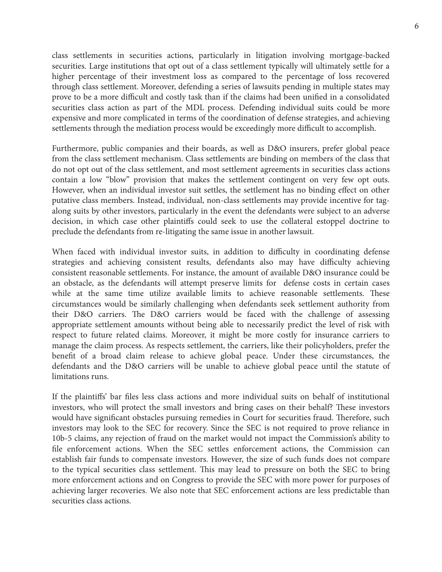class settlements in securities actions, particularly in litigation involving mortgage-backed securities. Large institutions that opt out of a class settlement typically will ultimately settle for a higher percentage of their investment loss as compared to the percentage of loss recovered through class settlement. Moreover, defending a series of lawsuits pending in multiple states may prove to be a more difficult and costly task than if the claims had been unified in a consolidated securities class action as part of the MDL process. Defending individual suits could be more expensive and more complicated in terms of the coordination of defense strategies, and achieving settlements through the mediation process would be exceedingly more difficult to accomplish.

Furthermore, public companies and their boards, as well as D&O insurers, prefer global peace from the class settlement mechanism. Class settlements are binding on members of the class that do not opt out of the class settlement, and most settlement agreements in securities class actions contain a low "blow" provision that makes the settlement contingent on very few opt outs. However, when an individual investor suit settles, the settlement has no binding effect on other putative class members. Instead, individual, non-class settlements may provide incentive for tagalong suits by other investors, particularly in the event the defendants were subject to an adverse decision, in which case other plaintiffs could seek to use the collateral estoppel doctrine to preclude the defendants from re-litigating the same issue in another lawsuit.

When faced with individual investor suits, in addition to difficulty in coordinating defense strategies and achieving consistent results, defendants also may have difficulty achieving consistent reasonable settlements. For instance, the amount of available D&O insurance could be an obstacle, as the defendants will attempt preserve limits for defense costs in certain cases while at the same time utilize available limits to achieve reasonable settlements. These circumstances would be similarly challenging when defendants seek settlement authority from their D&O carriers. The D&O carriers would be faced with the challenge of assessing appropriate settlement amounts without being able to necessarily predict the level of risk with respect to future related claims. Moreover, it might be more costly for insurance carriers to manage the claim process. As respects settlement, the carriers, like their policyholders, prefer the benefi t of a broad claim release to achieve global peace. Under these circumstances, the defendants and the D&O carriers will be unable to achieve global peace until the statute of limitations runs.

If the plaintiffs' bar files less class actions and more individual suits on behalf of institutional investors, who will protect the small investors and bring cases on their behalf? These investors would have significant obstacles pursuing remedies in Court for securities fraud. Therefore, such investors may look to the SEC for recovery. Since the SEC is not required to prove reliance in 10b-5 claims, any rejection of fraud on the market would not impact the Commission's ability to file enforcement actions. When the SEC settles enforcement actions, the Commission can establish fair funds to compensate investors. However, the size of such funds does not compare to the typical securities class settlement. This may lead to pressure on both the SEC to bring more enforcement actions and on Congress to provide the SEC with more power for purposes of achieving larger recoveries. We also note that SEC enforcement actions are less predictable than securities class actions.